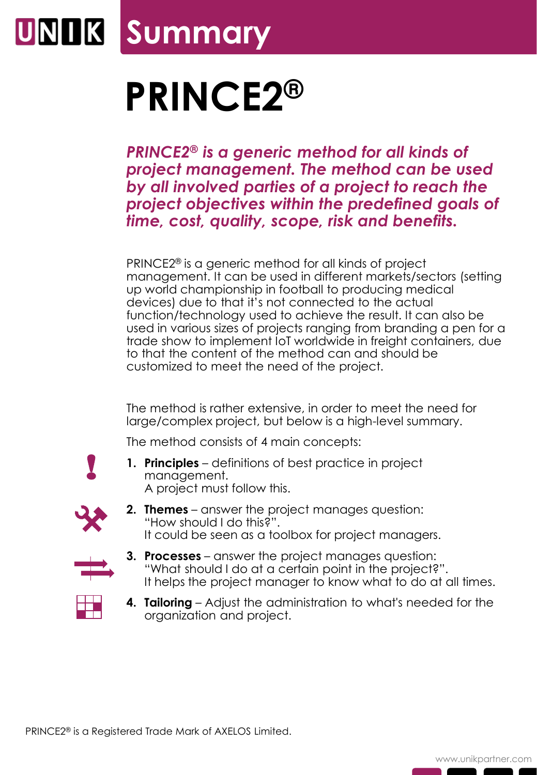# **Summary**

# **PRINCE2®**

*PRINCE2® is a generic method for all kinds of project management. The method can be used by all involved parties of a project to reach the project objectives within the predefined goals of time, cost, quality, scope, risk and benefits.*

PRINCE2® is a generic method for all kinds of project management. It can be used in different markets/sectors (setting up world championship in football to producing medical devices) due to that it's not connected to the actual function/technology used to achieve the result. It can also be used in various sizes of projects ranging from branding a pen for a trade show to implement IoT worldwide in freight containers, due to that the content of the method can and should be customized to meet the need of the project.

The method is rather extensive, in order to meet the need for large/complex project, but below is a high-level summary.

The method consists of 4 main concepts:

- !
- **1. Principles** definitions of best practice in project management. A project must follow this.



**2. Themes** – answer the project manages question: "How should I do this?". It could be seen as a toolbox for project managers.



- **3. Processes** answer the project manages question: "What should I do at a certain point in the project?". It helps the project manager to know what to do at all times.
- **4. Tailoring** Adjust the administration to what's needed for the organization and project.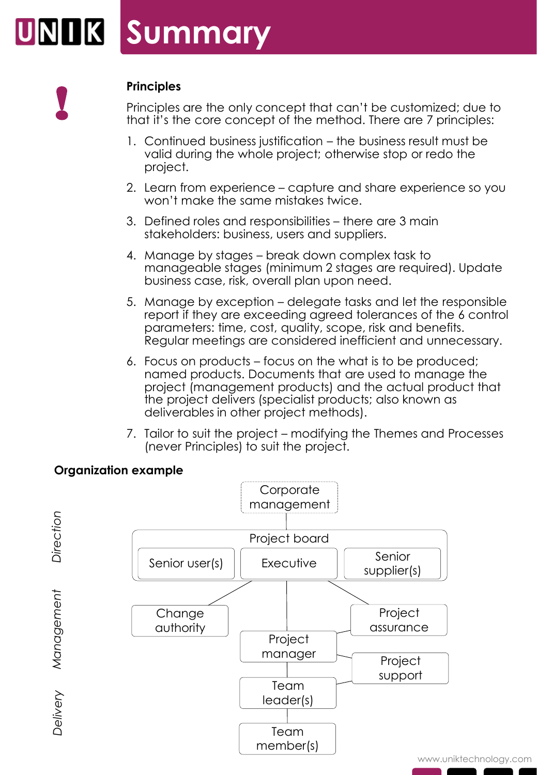

# **Principles**

Principles are the only concept that can't be customized; due to that it's the core concept of the method. There are 7 principles:

- 1. Continued business justification the business result must be valid during the whole project; otherwise stop or redo the project.
- 2. Learn from experience capture and share experience so you won't make the same mistakes twice.
- 3. Defined roles and responsibilities there are 3 main stakeholders: business, users and suppliers.
- 4. Manage by stages break down complex task to manageable stages (minimum 2 stages are required). Update business case, risk, overall plan upon need.
- 5. Manage by exception delegate tasks and let the responsible report if they are exceeding agreed tolerances of the 6 control parameters: time, cost, quality, scope, risk and benefits. Regular meetings are considered inefficient and unnecessary.
- 6. Focus on products focus on the what is to be produced; named products. Documents that are used to manage the project (management products) and the actual product that the project delivers (specialist products; also known as deliverables in other project methods).
- 7. Tailor to suit the project modifying the Themes and Processes (never Principles) to suit the project.



# **Organization example**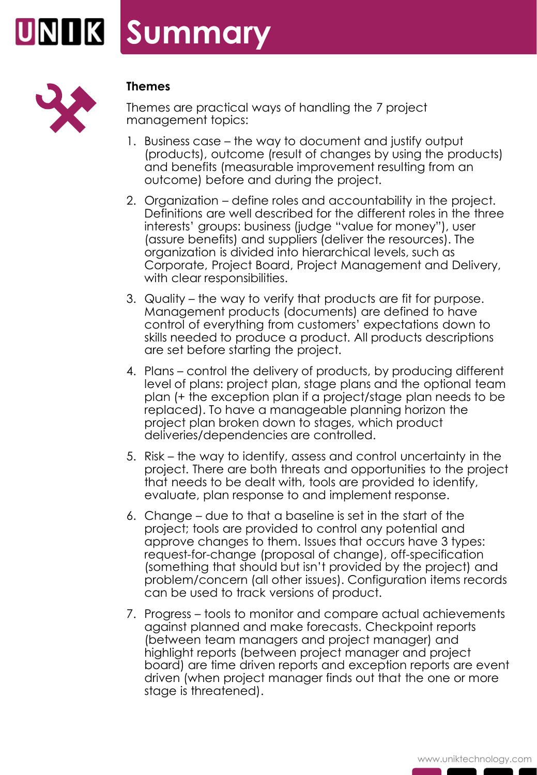



#### **Themes**

Themes are practical ways of handling the 7 project management topics:

- 1. Business case the way to document and justify output (products), outcome (result of changes by using the products) and benefits (measurable improvement resulting from an outcome) before and during the project.
- 2. Organization define roles and accountability in the project. Definitions are well described for the different roles in the three interests' groups: business (judge "value for money"), user (assure benefits) and suppliers (deliver the resources). The organization is divided into hierarchical levels, such as Corporate, Project Board, Project Management and Delivery, with clear responsibilities.
- 3. Quality the way to verify that products are fit for purpose. Management products (documents) are defined to have control of everything from customers' expectations down to skills needed to produce a product. All products descriptions are set before starting the project.
- 4. Plans control the delivery of products, by producing different level of plans: project plan, stage plans and the optional team plan (+ the exception plan if a project/stage plan needs to be replaced). To have a manageable planning horizon the project plan broken down to stages, which product deliveries/dependencies are controlled.
- 5. Risk the way to identify, assess and control uncertainty in the project. There are both threats and opportunities to the project that needs to be dealt with, tools are provided to identify, evaluate, plan response to and implement response.
- 6. Change due to that a baseline is set in the start of the project; tools are provided to control any potential and approve changes to them. Issues that occurs have 3 types: request-for-change (proposal of change), off-specification (something that should but isn't provided by the project) and problem/concern (all other issues). Configuration items records can be used to track versions of product.
- 7. Progress tools to monitor and compare actual achievements against planned and make forecasts. Checkpoint reports (between team managers and project manager) and highlight reports (between project manager and project board) are time driven reports and exception reports are event driven (when project manager finds out that the one or more stage is threatened).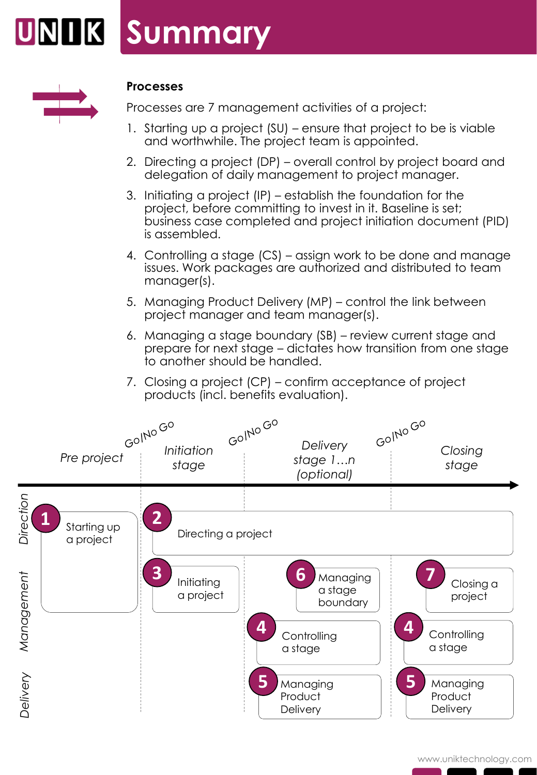



#### **Processes**

Processes are 7 management activities of a project:

- 1. Starting up a project (SU) ensure that project to be is viable and worthwhile. The project team is appointed.
- 2. Directing a project (DP) overall control by project board and delegation of daily management to project manager.
- 3. Initiating a project (IP) establish the foundation for the project, before committing to invest in it. Baseline is set; business case completed and project initiation document (PID) is assembled.
- 4. Controlling a stage (CS) assign work to be done and manage issues. Work packages are authorized and distributed to team manager(s).
- 5. Managing Product Delivery (MP) control the link between project manager and team manager(s).
- 6. Managing a stage boundary (SB) review current stage and prepare for next stage – dictates how transition from one stage to another should be handled.
- 7. Closing a project (CP) confirm acceptance of project products (incl. benefits evaluation).